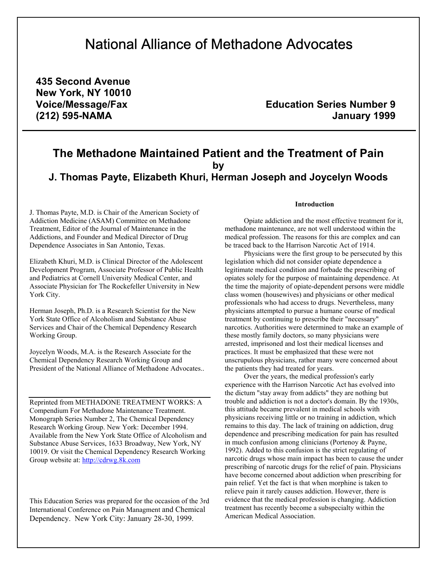# National Alliance of Methadone Advocates

**435 Second Avenue New York, NY 10010** 

Voice/Message/Fax **Education Series Number 9 (212) 595-NAMA January 1999**

## **The Methadone Maintained Patient and the Treatment of Pain by J. Thomas Payte, Elizabeth Khuri, Herman Joseph and Joycelyn Woods**

J. Thomas Payte, M.D. is Chair of the American Society of Addiction Medicine (ASAM) Committee on Methadone Treatment, Editor of the Journal of Maintenance in the Addictions, and Founder and Medical Director of Drug Dependence Associates in San Antonio, Texas.

Elizabeth Khuri, M.D. is Clinical Director of the Adolescent Development Program, Associate Professor of Public Health and Pediatrics at Cornell University Medical Center, and Associate Physician for The Rockefeller University in New York City.

Herman Joseph, Ph.D. is a Research Scientist for the New York State Office of Alcoholism and Substance Abuse Services and Chair of the Chemical Dependency Research Working Group.

Joycelyn Woods, M.A. is the Research Associate for the Chemical Dependency Research Working Group and President of the National Alliance of Methadone Advocates..

Reprinted from METHADONE TREATMENT WORKS: A Compendium For Methadone Maintenance Treatment. Monograph Series Number 2, The Chemical Dependency Research Working Group. New York: December 1994. Available from the New York State Office of Alcoholism and Substance Abuse Services, 1633 Broadway, New York, NY 10019. Or visit the Chemical Dependency Research Working Group website at: [http://cdrwg.8k.com](http://cdrwg.8k.com/)

This Education Series was prepared for the occasion of the 3rd International Conference on Pain Managment and Chemical Dependency. New York City: January 28-30, 1999.

#### **Introduction**

Opiate addiction and the most effective treatment for it, methadone maintenance, are not well understood within the medical profession. The reasons for this are complex and can be traced back to the Harrison Narcotic Act of 1914.

Physicians were the first group to be persecuted by this legislation which did not consider opiate dependence a legitimate medical condition and forbade the prescribing of opiates solely for the purpose of maintaining dependence. At the time the majority of opiate-dependent persons were middle class women (housewives) and physicians or other medical professionals who had access to drugs. Nevertheless, many physicians attempted to pursue a humane course of medical treatment by continuing to prescribe their "necessary" narcotics. Authorities were determined to make an example of these mostly family doctors, so many physicians were arrested, imprisoned and lost their medical licenses and practices. It must be emphasized that these were not unscrupulous physicians, rather many were concerned about the patients they had treated for years.

Over the years, the medical profession's early experience with the Harrison Narcotic Act has evolved into the dictum "stay away from addicts" they are nothing but trouble and addiction is not a doctor's domain. By the 1930s, this attitude became prevalent in medical schools with physicians receiving little or no training in addiction, which remains to this day. The lack of training on addiction, drug dependence and prescribing medication for pain has resulted in much confusion among clinicians (Portenoy & Payne, 1992). Added to this confusion is the strict regulating of narcotic drugs whose main impact has been to cause the under prescribing of narcotic drugs for the relief of pain. Physicians have become concerned about addiction when prescribing for pain relief. Yet the fact is that when morphine is taken to relieve pain it rarely causes addiction. However, there is evidence that the medical profession is changing. Addiction treatment has recently become a subspecialty within the American Medical Association.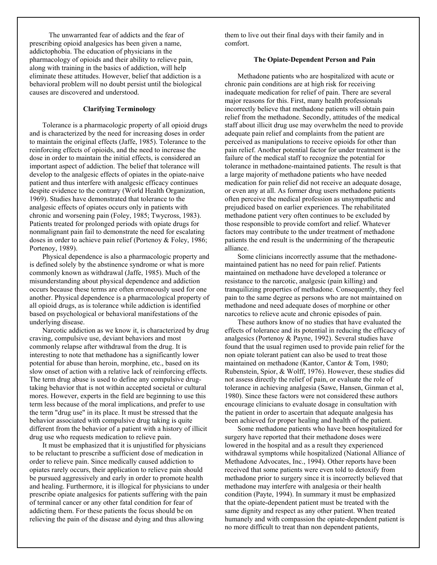The unwarranted fear of addicts and the fear of prescribing opioid analgesics has been given a name, addictophobia. The education of physicians in the pharmacology of opioids and their ability to relieve pain, along with training in the basics of addiction, will help eliminate these attitudes. However, belief that addiction is a behavioral problem will no doubt persist until the biological causes are discovered and understood.

#### **Clarifying Terminology**

Tolerance is a pharmacologic property of all opioid drugs and is characterized by the need for increasing doses in order to maintain the original effects (Jaffe, 1985). Tolerance to the reinforcing effects of opioids, and the need to increase the dose in order to maintain the initial effects, is considered an important aspect of addiction. The belief that tolerance will develop to the analgesic effects of opiates in the opiate-naive patient and thus interfere with analgesic efficacy continues despite evidence to the contrary (World Health Organization, 1969). Studies have demonstrated that tolerance to the analgesic effects of opiates occurs only in patients with chronic and worsening pain (Foley, 1985; Twycross, 1983). Patients treated for prolonged periods with opiate drugs for nonmalignant pain fail to demonstrate the need for escalating doses in order to achieve pain relief (Portenoy & Foley, 1986; Portenoy, 1989).

Physical dependence is also a pharmacologic property and is defined solely by the abstinence syndrome or what is more commonly known as withdrawal (Jaffe, 1985). Much of the misunderstanding about physical dependence and addiction occurs because these terms are often erroneously used for one another. Physical dependence is a pharmacological property of all opioid drugs, as is tolerance while addiction is identified based on psychological or behavioral manifestations of the underlying disease.

Narcotic addiction as we know it, is characterized by drug craving, compulsive use, deviant behaviors and most commonly relapse after withdrawal from the drug. It is interesting to note that methadone has a significantly lower potential for abuse than heroin, morphine, etc., based on its slow onset of action with a relative lack of reinforcing effects. The term drug abuse is used to define any compulsive drugtaking behavior that is not within accepted societal or cultural mores. However, experts in the field are beginning to use this term less because of the moral implications, and prefer to use the term "drug use" in its place. It must be stressed that the behavior associated with compulsive drug taking is quite different from the behavior of a patient with a history of illicit drug use who requests medication to relieve pain.

It must be emphasized that it is unjustified for physicians to be reluctant to prescribe a sufficient dose of medication in order to relieve pain. Since medically caused addiction to opiates rarely occurs, their application to relieve pain should be pursued aggressively and early in order to promote health and healing. Furthermore, it is illogical for physicians to under prescribe opiate analgesics for patients suffering with the pain of terminal cancer or any other fatal condition for fear of addicting them. For these patients the focus should be on relieving the pain of the disease and dying and thus allowing

them to live out their final days with their family and in comfort.

#### **The Opiate-Dependent Person and Pain**

Methadone patients who are hospitalized with acute or chronic pain conditions are at high risk for receiving inadequate medication for relief of pain. There are several major reasons for this. First, many health professionals incorrectly believe that methadone patients will obtain pain relief from the methadone. Secondly, attitudes of the medical staff about illicit drug use may overwhelm the need to provide adequate pain relief and complaints from the patient are perceived as manipulations to receive opioids for other than pain relief. Another potential factor for under treatment is the failure of the medical staff to recognize the potential for tolerance in methadone-maintained patients. The result is that a large majority of methadone patients who have needed medication for pain relief did not receive an adequate dosage, or even any at all. As former drug users methadone patients often perceive the medical profession as unsympathetic and prejudiced based on earlier experiences. The rehabilitated methadone patient very often continues to be excluded by those responsible to provide comfort and relief. Whatever factors may contribute to the under treatment of methadone patients the end result is the undermining of the therapeutic alliance.

Some clinicians incorrectly assume that the methadonemaintained patient has no need for pain relief. Patients maintained on methadone have developed a tolerance or resistance to the narcotic, analgesic (pain killing) and tranquilizing properties of methadone. Consequently, they feel pain to the same degree as persons who are not maintained on methadone and need adequate doses of morphine or other narcotics to relieve acute and chronic episodes of pain.

These authors know of no studies that have evaluated the effects of tolerance and its potential in reducing the efficacy of analgesics (Portenoy & Payne, 1992). Several studies have found that the usual regimen used to provide pain relief for the non opiate tolerant patient can also be used to treat those maintained on methadone (Kantor, Cantor & Tom, 1980; Rubenstein, Spior, & Wolff, 1976). However, these studies did not assess directly the relief of pain, or evaluate the role of tolerance in achieving analgesia (Sawe, Hansen, Ginman et al, 1980). Since these factors were not considered these authors encourage clinicians to evaluate dosage in consultation with the patient in order to ascertain that adequate analgesia has been achieved for proper healing and health of the patient.

Some methadone patients who have been hospitalized for surgery have reported that their methadone doses were lowered in the hospital and as a result they experienced withdrawal symptoms while hospitalized (National Alliance of Methadone Advocates, Inc., 1994). Other reports have been received that some patients were even told to detoxify from methadone prior to surgery since it is incorrectly believed that methadone may interfere with analgesia or their health condition (Payte, 1994). In summary it must be emphasized that the opiate-dependent patient must be treated with the same dignity and respect as any other patient. When treated humanely and with compassion the opiate-dependent patient is no more difficult to treat than non dependent patients,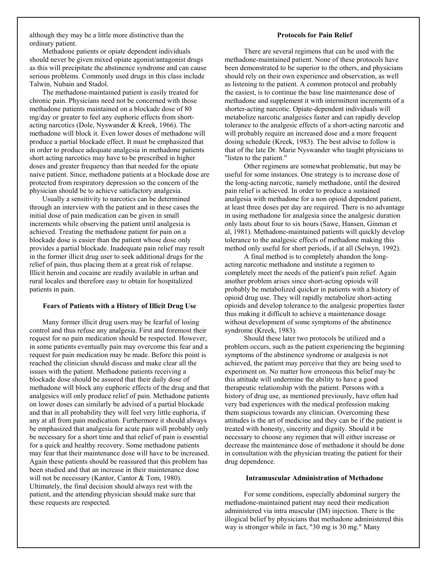although they may be a little more distinctive than the ordinary patient.

#### **Protocols for Pain Relief**

Methadone patients or opiate dependent individuals should never be given mixed opiate agonist/antagonist drugs as this will precipitate the abstinence syndrome and can cause serious problems. Commonly used drugs in this class include Talwin, Nubain and Stadol.

The methadone-maintained patient is easily treated for chronic pain. Physicians need not be concerned with those methadone patients maintained on a blockade dose of 80 mg/day or greater to feel any euphoric effects from shortacting narcotics (Dole, Nyswander & Kreek, 1966). The methadone will block it. Even lower doses of methadone will produce a partial blockade effect. It must be emphasized that in order to produce adequate analgesia in methadone patients short acting narcotics may have to be prescribed in higher doses and greater frequency than that needed for the opiate naive patient. Since, methadone patients at a blockade dose are protected from respiratory depression so the concern of the physician should be to achieve satisfactory analgesia.

Usually a sensitivity to narcotics can be determined through an interview with the patient and in these cases the initial dose of pain medication can be given in small increments while observing the patient until analgesia is achieved. Treating the methadone patient for pain on a blockade dose is easier than the patient whose dose only provides a partial blockade. Inadequate pain relief may result in the former illicit drug user to seek additional drugs for the relief of pain, thus placing them at a great risk of relapse. Illicit heroin and cocaine are readily available in urban and rural locales and therefore easy to obtain for hospitalized patients in pain.

#### **Fears of Patients with a History of Illicit Drug Use**

Many former illicit drug users may be fearful of losing control and thus refuse any analgesia. First and foremost their request for no pain medication should be respected. However, in some patients eventually pain may overcome this fear and a request for pain medication may be made. Before this point is reached the clinician should discuss and make clear all the issues with the patient. Methadone patients receiving a blockade dose should be assured that their daily dose of methadone will block any euphoric effects of the drug and that analgesics will only produce relief of pain. Methadone patients on lower doses can similarly be advised of a partial blockade and that in all probability they will feel very little euphoria, if any at all from pain medication. Furthermore it should always be emphasized that analgesia for acute pain will probably only be necessary for a short time and that relief of pain is essential for a quick and healthy recovery. Some methadone patients may fear that their maintenance dose will have to be increased. Again these patients should be reassured that this problem has been studied and that an increase in their maintenance dose will not be necessary (Kantor, Cantor & Tom, 1980). Ultimately, the final decision should always rest with the patient, and the attending physician should make sure that these requests are respected.

There are several regimens that can be used with the methadone-maintained patient. None of these protocols have been demonstrated to be superior to the others, and physicians should rely on their own experience and observation, as well as listening to the patient. A common protocol and probably the easiest, is to continue the base line maintenance dose of methadone and supplement it with intermittent increments of a shorter-acting narcotic. Opiate-dependent individuals will metabolize narcotic analgesics faster and can rapidly develop tolerance to the analgesic effects of a short-acting narcotic and will probably require an increased dose and a more frequent dosing schedule (Kreek, 1983). The best advise to follow is that of the late Dr. Marie Nyswander who taught physicians to "listen to the patient."

Other regimens are somewhat problematic, but may be useful for some instances. One strategy is to increase dose of the long-acting narcotic, namely methadone, until the desired pain relief is achieved. In order to produce a sustained analgesia with methadone for a non opioid dependent patient, at least three doses per day are required. There is no advantage in using methadone for analgesia since the analgesic duration only lasts about four to six hours (Sawe, Hansen, Ginman et al, 1981). Methadone-maintained patients will quickly develop tolerance to the analgesic effects of methadone making this method only useful for short periods, if at all (Selwyn, 1992).

A final method is to completely abandon the longacting narcotic methadone and institute a regimen to completely meet the needs of the patient's pain relief. Again another problem arises since short-acting opioids will probably be metabolized quicker in patients with a history of opioid drug use. They will rapidly metabolize short-acting opioids and develop tolerance to the analgesic properties faster thus making it difficult to achieve a maintenance dosage without development of some symptoms of the abstinence syndrome (Kreek, 1983).

Should these later two protocols be utilized and a problem occurs, such as the patient experiencing the beginning symptoms of the abstinence syndrome or analgesia is not achieved, the patient may perceive that they are being used to experiment on. No matter how erroneous this belief may be this attitude will undermine the ability to have a good therapeutic relationship with the patient. Persons with a history of drug use, as mentioned previously, have often had very bad experiences with the medical profession making them suspicious towards any clinician. Overcoming these attitudes is the art of medicine and they can be if the patient is treated with honesty, sincerity and dignity. Should it be necessary to choose any regimen that will either increase or decrease the maintenance dose of methadone it should be done in consultation with the physician treating the patient for their drug dependence.

#### **Intramuscular Administration of Methadone**

For some conditions, especially abdominal surgery the methadone-maintained patient may need their medication administered via intra muscular (IM) injection. There is the illogical belief by physicians that methadone administered this way is stronger while in fact, "30 mg is 30 mg." Many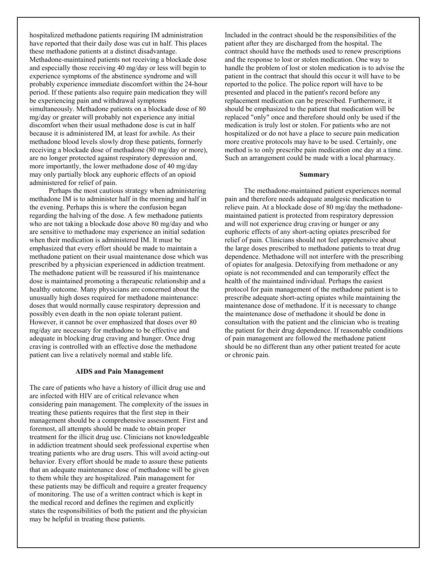hospitalized methadone patients requiring IM administration have reported that their daily dose was cut in half. This places these methadone patients at a distinct disadvantage. Methadone-maintained patients not receiving a blockade dose and especially those receiving 40 mg/day or less will begin to experience symptoms of the abstinence syndrome and will probably experience immediate discomfort within the 24-hour period. If these patients also require pain medication they will be experiencing pain and withdrawal symptoms simultaneously. Methadone patients on a blockade dose of 80 mg/day or greater will probably not experience any initial discomfort when their usual methadone dose is cut in half because it is administered IM, at least for awhile. As their methadone blood levels slowly drop these patients, formerly receiving a blockade dose of methadone (80 mg/day or more), are no longer protected against respiratory depression and, more importantly, the lower methadone dose of 40 mg/day may only partially block any euphoric effects of an opioid administered for relief of pain.

Perhaps the most cautious strategy when administering methadone IM is to administer half in the morning and half in the evening. Perhaps this is where the confusion began regarding the halving of the dose. A few methadone patients who are not taking a blockade dose above 80 mg/day and who are sensitive to methadone may experience an initial sedation when their medication is administered IM. It must be emphasized that every effort should be made to maintain a methadone patient on their usual maintenance dose which was prescribed by a physician experienced in addiction treatment. The methadone patient will be reassured if his maintenance dose is maintained promoting a therapeutic relationship and a healthy outcome. Many physicians are concerned about the unusually high doses required for methadone maintenance: doses that would normally cause respiratory depression and possibly even death in the non opiate tolerant patient. However, it cannot be over emphasized that doses over 80 mg/day are necessary for methadone to be effective and adequate in blocking drug craving and hunger. Once drug craving is controlled with an effective dose the methadone patient can live a relatively normal and stable life.

#### **AIDS and Pain Management**

The care of patients who have a history of illicit drug use and are infected with HIV are of critical relevance when considering pain management. The complexity of the issues in treating these patients requires that the first step in their management should be a comprehensive assessment. First and foremost, all attempts should be made to obtain proper treatment for the illicit drug use. Clinicians not knowledgeable in addiction treatment should seek professional expertise when treating patients who are drug users. This will avoid acting-out behavior. Every effort should be made to assure these patients that an adequate maintenance dose of methadone will be given to them while they are hospitalized. Pain management for these patients may be difficult and require a greater frequency of monitoring. The use of a written contract which is kept in the medical record and defines the regimen and explicitly states the responsibilities of both the patient and the physician may be helpful in treating these patients.

Included in the contract should be the responsibilities of the patient after they are discharged from the hospital. The contract should have the methods used to renew prescriptions and the response to lost or stolen medication. One way to handle the problem of lost or stolen medication is to advise the patient in the contract that should this occur it will have to be reported to the police. The police report will have to be presented and placed in the patient's record before any replacement medication can be prescribed. Furthermore, it should be emphasized to the patient that medication will be replaced "only" once and therefore should only be used if the medication is truly lost or stolen. For patients who are not hospitalized or do not have a place to secure pain medication more creative protocols may have to be used. Certainly, one method is to only prescribe pain medication one day at a time. Such an arrangement could be made with a local pharmacy.

#### **Summary**

The methadone-maintained patient experiences normal pain and therefore needs adequate analgesic medication to relieve pain. At a blockade dose of 80 mg/day the methadonemaintained patient is protected from respiratory depression and will not experience drug craving or hunger or any euphoric effects of any short-acting opiates prescribed for relief of pain. Clinicians should not feel apprehensive about the large doses prescribed to methadone patients to treat drug dependence. Methadone will not interfere with the prescribing of opiates for analgesia. Detoxifying from methadone or any opiate is not recommended and can temporarily effect the health of the maintained individual. Perhaps the easiest protocol for pain management of the methadone patient is to prescribe adequate short-acting opiates while maintaining the maintenance dose of methadone. If it is necessary to change the maintenance dose of methadone it should be done in consultation with the patient and the clinician who is treating the patient for their drug dependence. If reasonable conditions of pain management are followed the methadone patient should be no different than any other patient treated for acute or chronic pain.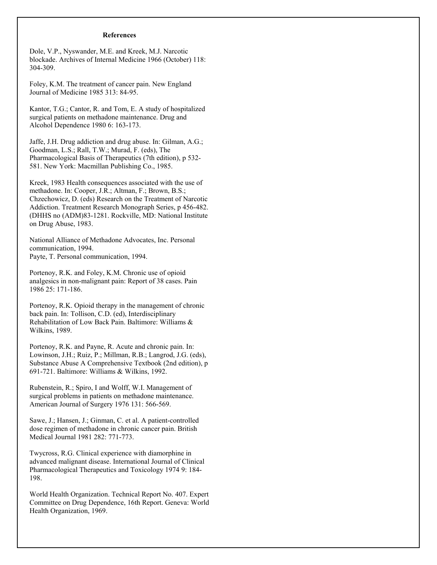#### **References**

Dole, V.P., Nyswander, M.E. and Kreek, M.J. Narcotic blockade. Archives of Internal Medicine 1966 (October) 118: 304-309.

Foley, K.M. The treatment of cancer pain. New England Journal of Medicine 1985 313: 84-95.

Kantor, T.G.; Cantor, R. and Tom, E. A study of hospitalized surgical patients on methadone maintenance. Drug and Alcohol Dependence 1980 6: 163-173.

Jaffe, J.H. Drug addiction and drug abuse. In: Gilman, A.G.; Goodman, L.S.; Rall, T.W.; Murad, F. (eds), The Pharmacological Basis of Therapeutics (7th edition), p 532- 581. New York: Macmillan Publishing Co., 1985.

Kreek, 1983 Health consequences associated with the use of methadone. In: Cooper, J.R.; Altman, F.; Brown, B.S.; Chzechowicz, D. (eds) Research on the Treatment of Narcotic Addiction. Treatment Research Monograph Series, p 456-482. (DHHS no (ADM)83-1281. Rockville, MD: National Institute on Drug Abuse, 1983.

National Alliance of Methadone Advocates, Inc. Personal communication, 1994. Payte, T. Personal communication, 1994.

Portenoy, R.K. and Foley, K.M. Chronic use of opioid analgesics in non-malignant pain: Report of 38 cases. Pain 1986 25: 171-186.

Portenoy, R.K. Opioid therapy in the management of chronic back pain. In: Tollison, C.D. (ed), Interdisciplinary Rehabilitation of Low Back Pain. Baltimore: Williams & Wilkins, 1989.

Portenoy, R.K. and Payne, R. Acute and chronic pain. In: Lowinson, J.H.; Ruiz, P.; Millman, R.B.; Langrod, J.G. (eds), Substance Abuse A Comprehensive Textbook (2nd edition), p 691-721. Baltimore: Williams & Wilkins, 1992.

Rubenstein, R.; Spiro, I and Wolff, W.I. Management of surgical problems in patients on methadone maintenance. American Journal of Surgery 1976 131: 566-569.

Sawe, J.; Hansen, J.; Ginman, C. et al. A patient-controlled dose regimen of methadone in chronic cancer pain. British Medical Journal 1981 282: 771-773.

Twycross, R.G. Clinical experience with diamorphine in advanced malignant disease. International Journal of Clinical Pharmacological Therapeutics and Toxicology 1974 9: 184- 198.

World Health Organization. Technical Report No. 407. Expert Committee on Drug Dependence, 16th Report. Geneva: World Health Organization, 1969.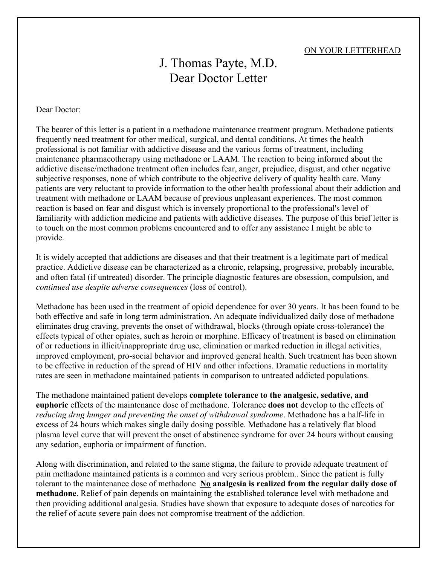## ON YOUR LETTERHEAD

## J. Thomas Payte, M.D. Dear Doctor Letter

### Dear Doctor:

The bearer of this letter is a patient in a methadone maintenance treatment program. Methadone patients frequently need treatment for other medical, surgical, and dental conditions. At times the health professional is not familiar with addictive disease and the various forms of treatment, including maintenance pharmacotherapy using methadone or LAAM. The reaction to being informed about the addictive disease/methadone treatment often includes fear, anger, prejudice, disgust, and other negative subjective responses, none of which contribute to the objective delivery of quality health care. Many patients are very reluctant to provide information to the other health professional about their addiction and treatment with methadone or LAAM because of previous unpleasant experiences. The most common reaction is based on fear and disgust which is inversely proportional to the professional's level of familiarity with addiction medicine and patients with addictive diseases. The purpose of this brief letter is to touch on the most common problems encountered and to offer any assistance I might be able to provide.

It is widely accepted that addictions are diseases and that their treatment is a legitimate part of medical practice. Addictive disease can be characterized as a chronic, relapsing, progressive, probably incurable, and often fatal (if untreated) disorder. The principle diagnostic features are obsession, compulsion, and *continued use despite adverse consequences* (loss of control).

Methadone has been used in the treatment of opioid dependence for over 30 years. It has been found to be both effective and safe in long term administration. An adequate individualized daily dose of methadone eliminates drug craving, prevents the onset of withdrawal, blocks (through opiate cross-tolerance) the effects typical of other opiates, such as heroin or morphine. Efficacy of treatment is based on elimination of or reductions in illicit/inappropriate drug use, elimination or marked reduction in illegal activities, improved employment, pro-social behavior and improved general health. Such treatment has been shown to be effective in reduction of the spread of HIV and other infections. Dramatic reductions in mortality rates are seen in methadone maintained patients in comparison to untreated addicted populations.

The methadone maintained patient develops **complete tolerance to the analgesic, sedative, and euphoric** effects of the maintenance dose of methadone. Tolerance **does not** develop to the effects of *reducing drug hunger and preventing the onset of withdrawal syndrome*. Methadone has a half-life in excess of 24 hours which makes single daily dosing possible. Methadone has a relatively flat blood plasma level curve that will prevent the onset of abstinence syndrome for over 24 hours without causing any sedation, euphoria or impairment of function.

Along with discrimination, and related to the same stigma, the failure to provide adequate treatment of pain methadone maintained patients is a common and very serious problem.. Since the patient is fully tolerant to the maintenance dose of methadone **No analgesia is realized from the regular daily dose of methadone**. Relief of pain depends on maintaining the established tolerance level with methadone and then providing additional analgesia. Studies have shown that exposure to adequate doses of narcotics for the relief of acute severe pain does not compromise treatment of the addiction.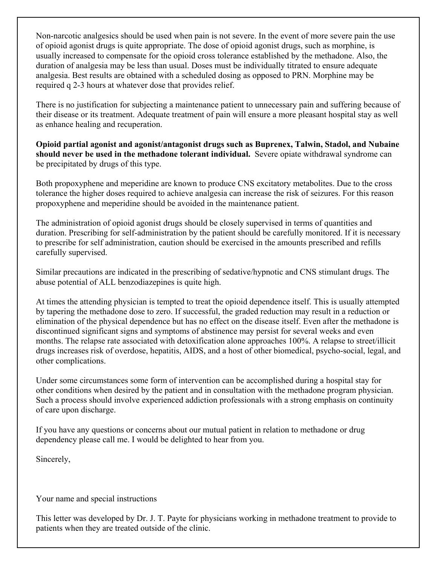Non-narcotic analgesics should be used when pain is not severe. In the event of more severe pain the use of opioid agonist drugs is quite appropriate. The dose of opioid agonist drugs, such as morphine, is usually increased to compensate for the opioid cross tolerance established by the methadone. Also, the duration of analgesia may be less than usual. Doses must be individually titrated to ensure adequate analgesia. Best results are obtained with a scheduled dosing as opposed to PRN. Morphine may be required q 2-3 hours at whatever dose that provides relief.

There is no justification for subjecting a maintenance patient to unnecessary pain and suffering because of their disease or its treatment. Adequate treatment of pain will ensure a more pleasant hospital stay as well as enhance healing and recuperation.

**Opioid partial agonist and agonist/antagonist drugs such as Buprenex, Talwin, Stadol, and Nubaine should never be used in the methadone tolerant individual.** Severe opiate withdrawal syndrome can be precipitated by drugs of this type.

Both propoxyphene and meperidine are known to produce CNS excitatory metabolites. Due to the cross tolerance the higher doses required to achieve analgesia can increase the risk of seizures. For this reason propoxyphene and meperidine should be avoided in the maintenance patient.

The administration of opioid agonist drugs should be closely supervised in terms of quantities and duration. Prescribing for self-administration by the patient should be carefully monitored. If it is necessary to prescribe for self administration, caution should be exercised in the amounts prescribed and refills carefully supervised.

Similar precautions are indicated in the prescribing of sedative/hypnotic and CNS stimulant drugs. The abuse potential of ALL benzodiazepines is quite high.

At times the attending physician is tempted to treat the opioid dependence itself. This is usually attempted by tapering the methadone dose to zero. If successful, the graded reduction may result in a reduction or elimination of the physical dependence but has no effect on the disease itself. Even after the methadone is discontinued significant signs and symptoms of abstinence may persist for several weeks and even months. The relapse rate associated with detoxification alone approaches 100%. A relapse to street/illicit drugs increases risk of overdose, hepatitis, AIDS, and a host of other biomedical, psycho-social, legal, and other complications.

Under some circumstances some form of intervention can be accomplished during a hospital stay for other conditions when desired by the patient and in consultation with the methadone program physician. Such a process should involve experienced addiction professionals with a strong emphasis on continuity of care upon discharge.

If you have any questions or concerns about our mutual patient in relation to methadone or drug dependency please call me. I would be delighted to hear from you.

Sincerely,

Your name and special instructions

This letter was developed by Dr. J. T. Payte for physicians working in methadone treatment to provide to patients when they are treated outside of the clinic.